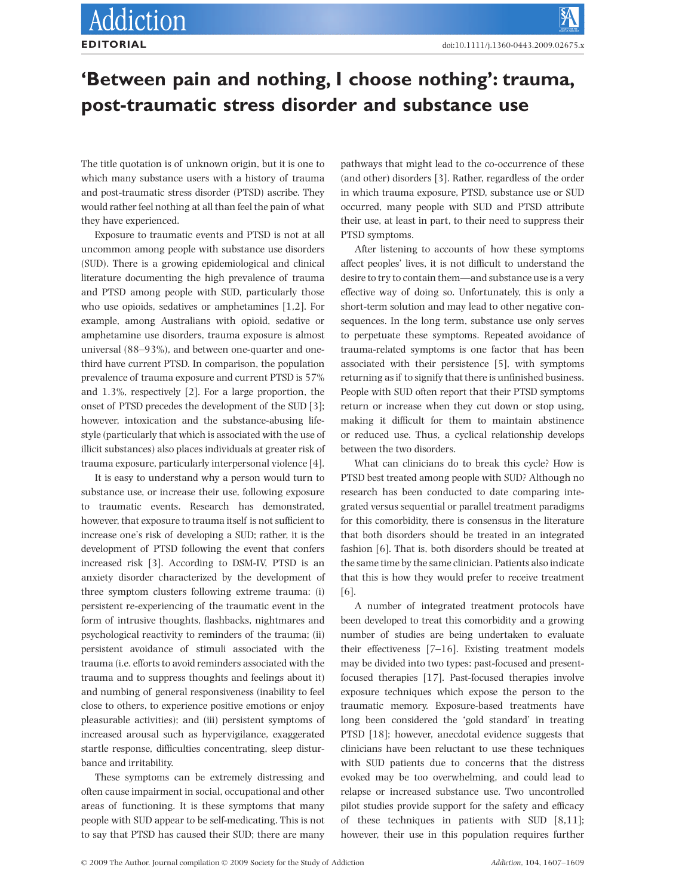## **'Between pain and nothing, I choose nothing': trauma,** post-traumatic stress disorder and substance use

The title quotation is of unknown origin, but it is one to which many substance users with a history of trauma and post-traumatic stress disorder (PTSD) ascribe. They would rather feel nothing at all than feel the pain of what they have experienced.

Exposure to traumatic events and PTSD is not at all uncommon among people with substance use disorders (SUD). There is a growing epidemiological and clinical literature documenting the high prevalence of trauma and PTSD among people with SUD, particularly those who use opioids, sedatives or amphetamines [1,2]. For example, among Australians with opioid, sedative or amphetamine use disorders, trauma exposure is almost universal (88–93%), and between one-quarter and onethird have current PTSD. In comparison, the population prevalence of trauma exposure and current PTSD is 57% and 1.3%, respectively [2]. For a large proportion, the onset of PTSD precedes the development of the SUD [3]; however, intoxication and the substance-abusing lifestyle (particularly that which is associated with the use of illicit substances) also places individuals at greater risk of trauma exposure, particularly interpersonal violence [4].

It is easy to understand why a person would turn to substance use, or increase their use, following exposure to traumatic events. Research has demonstrated, however, that exposure to trauma itself is not sufficient to increase one's risk of developing a SUD; rather, it is the development of PTSD following the event that confers increased risk [3]. According to DSM-IV, PTSD is an anxiety disorder characterized by the development of three symptom clusters following extreme trauma: (i) persistent re-experiencing of the traumatic event in the form of intrusive thoughts, flashbacks, nightmares and psychological reactivity to reminders of the trauma; (ii) persistent avoidance of stimuli associated with the trauma (i.e. efforts to avoid reminders associated with the trauma and to suppress thoughts and feelings about it) and numbing of general responsiveness (inability to feel close to others, to experience positive emotions or enjoy pleasurable activities); and (iii) persistent symptoms of increased arousal such as hypervigilance, exaggerated startle response, difficulties concentrating, sleep disturbance and irritability.

These symptoms can be extremely distressing and often cause impairment in social, occupational and other areas of functioning. It is these symptoms that many people with SUD appear to be self-medicating. This is not to say that PTSD has caused their SUD; there are many pathways that might lead to the co-occurrence of these (and other) disorders [3]. Rather, regardless of the order in which trauma exposure, PTSD, substance use or SUD occurred, many people with SUD and PTSD attribute their use, at least in part, to their need to suppress their PTSD symptoms.

After listening to accounts of how these symptoms affect peoples' lives, it is not difficult to understand the desire to try to contain them—and substance use is a very effective way of doing so. Unfortunately, this is only a short-term solution and may lead to other negative consequences. In the long term, substance use only serves to perpetuate these symptoms. Repeated avoidance of trauma-related symptoms is one factor that has been associated with their persistence [5], with symptoms returning as if to signify that there is unfinished business. People with SUD often report that their PTSD symptoms return or increase when they cut down or stop using, making it difficult for them to maintain abstinence or reduced use. Thus, a cyclical relationship develops between the two disorders.

What can clinicians do to break this cycle? How is PTSD best treated among people with SUD? Although no research has been conducted to date comparing integrated versus sequential or parallel treatment paradigms for this comorbidity, there is consensus in the literature that both disorders should be treated in an integrated fashion [6]. That is, both disorders should be treated at the same time by the same clinician. Patients also indicate that this is how they would prefer to receive treatment [6].

A number of integrated treatment protocols have been developed to treat this comorbidity and a growing number of studies are being undertaken to evaluate their effectiveness [7–16]. Existing treatment models may be divided into two types: past-focused and presentfocused therapies [17]. Past-focused therapies involve exposure techniques which expose the person to the traumatic memory. Exposure-based treatments have long been considered the 'gold standard' in treating PTSD [18]; however, anecdotal evidence suggests that clinicians have been reluctant to use these techniques with SUD patients due to concerns that the distress evoked may be too overwhelming, and could lead to relapse or increased substance use. Two uncontrolled pilot studies provide support for the safety and efficacy of these techniques in patients with SUD [8,11]; however, their use in this population requires further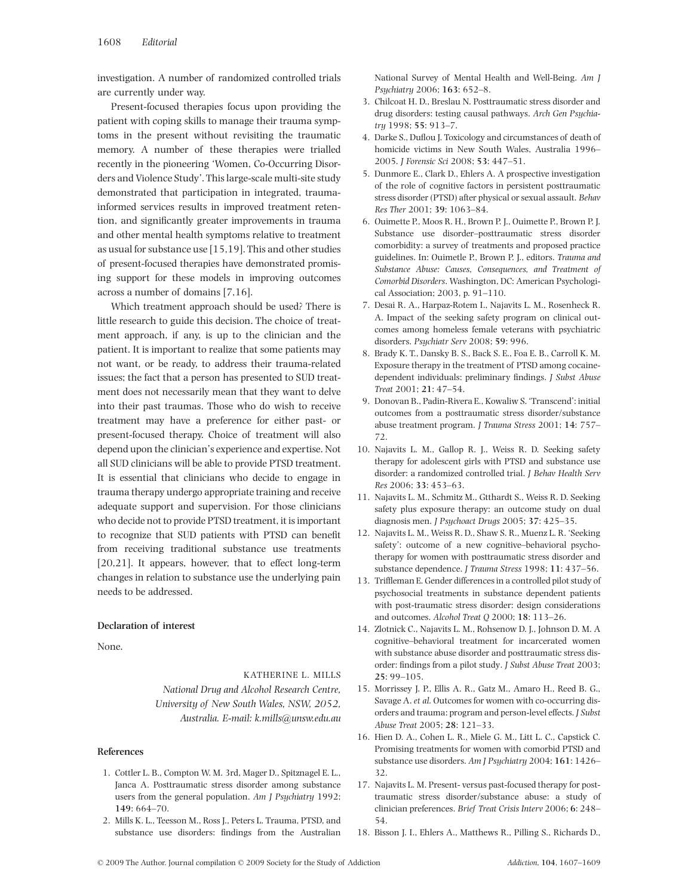investigation. A number of randomized controlled trials are currently under way.

Present-focused therapies focus upon providing the patient with coping skills to manage their trauma symptoms in the present without revisiting the traumatic memory. A number of these therapies were trialled recently in the pioneering 'Women, Co-Occurring Disorders and Violence Study'. This large-scale multi-site study demonstrated that participation in integrated, traumainformed services results in improved treatment retention, and significantly greater improvements in trauma and other mental health symptoms relative to treatment as usual for substance use [15,19]. This and other studies of present-focused therapies have demonstrated promising support for these models in improving outcomes across a number of domains [7,16].

Which treatment approach should be used? There is little research to guide this decision. The choice of treatment approach, if any, is up to the clinician and the patient. It is important to realize that some patients may not want, or be ready, to address their trauma-related issues; the fact that a person has presented to SUD treatment does not necessarily mean that they want to delve into their past traumas. Those who do wish to receive treatment may have a preference for either past- or present-focused therapy. Choice of treatment will also depend upon the clinician's experience and expertise. Not all SUD clinicians will be able to provide PTSD treatment. It is essential that clinicians who decide to engage in trauma therapy undergo appropriate training and receive adequate support and supervision. For those clinicians who decide not to provide PTSD treatment, it is important to recognize that SUD patients with PTSD can benefit from receiving traditional substance use treatments [20,21]. It appears, however, that to effect long-term changes in relation to substance use the underlying pain needs to be addressed.

## **Declaration of interest**

None.

KATHERINE L. MILLS

*National Drug and Alcohol Research Centre, University of New South Wales, NSW, 2052, Australia. E-mail: k.mills@unsw.edu.au*

## **References**

- 1. Cottler L. B., Compton W. M. 3rd, Mager D., Spitznagel E. L., Janca A. Posttraumatic stress disorder among substance users from the general population. *Am J Psychiatry* 1992; **149**: 664–70.
- 2. Mills K. L., Teesson M., Ross J., Peters L. Trauma, PTSD, and substance use disorders: findings from the Australian

National Survey of Mental Health and Well-Being. *Am J Psychiatry* 2006; **163**: 652–8.

- 3. Chilcoat H. D., Breslau N. Posttraumatic stress disorder and drug disorders: testing causal pathways. *Arch Gen Psychiatry* 1998; **55**: 913–7.
- 4. Darke S., Duflou J. Toxicology and circumstances of death of homicide victims in New South Wales, Australia 1996– 2005. *J Forensic Sci* 2008; **53**: 447–51.
- 5. Dunmore E., Clark D., Ehlers A. A prospective investigation of the role of cognitive factors in persistent posttraumatic stress disorder (PTSD) after physical or sexual assault. *Behav Res Ther* 2001; **39**: 1063–84.
- 6. Ouimette P., Moos R. H., Brown P. J., Ouimette P., Brown P. J. Substance use disorder–posttraumatic stress disorder comorbidity: a survey of treatments and proposed practice guidelines. In: Ouimetle P., Brown P. J., editors. *Trauma and Substance Abuse: Causes, Consequences, and Treatment of Comorbid Disorders*. Washington, DC: American Psychological Association; 2003, p. 91–110.
- 7. Desai R. A., Harpaz-Rotem I., Najavits L. M., Rosenheck R. A. Impact of the seeking safety program on clinical outcomes among homeless female veterans with psychiatric disorders. *Psychiatr Serv* 2008; **59**: 996.
- 8. Brady K. T., Dansky B. S., Back S. E., Foa E. B., Carroll K. M. Exposure therapy in the treatment of PTSD among cocainedependent individuals: preliminary findings. *J Subst Abuse Treat* 2001; **21**: 47–54.
- 9. Donovan B., Padin-Rivera E., Kowaliw S. 'Transcend': initial outcomes from a posttraumatic stress disorder/substance abuse treatment program. *J Trauma Stress* 2001; **14**: 757– 72.
- 10. Najavits L. M., Gallop R. J., Weiss R. D. Seeking safety therapy for adolescent girls with PTSD and substance use disorder: a randomized controlled trial. *J Behav Health Serv Res* 2006; **33**: 453–63.
- 11. Najavits L. M., Schmitz M., Gtthardt S., Weiss R. D. Seeking safety plus exposure therapy: an outcome study on dual diagnosis men. *J Psychoact Drugs* 2005; **37**: 425–35.
- 12. Najavits L. M., Weiss R. D., Shaw S. R., Muenz L. R. 'Seeking safety': outcome of a new cognitive–behavioral psychotherapy for women with posttraumatic stress disorder and substance dependence. *J Trauma Stress* 1998; **11**: 437–56.
- 13. Triffleman E. Gender differences in a controlled pilot study of psychosocial treatments in substance dependent patients with post-traumatic stress disorder: design considerations and outcomes. *Alcohol Treat Q* 2000; **18**: 113–26.
- 14. Zlotnick C., Najavits L. M., Rohsenow D. J., Johnson D. M. A cognitive–behavioral treatment for incarcerated women with substance abuse disorder and posttraumatic stress disorder: findings from a pilot study. *J Subst Abuse Treat* 2003; **25**: 99–105.
- 15. Morrissey J. P., Ellis A. R., Gatz M., Amaro H., Reed B. G., Savage A. *et al.* Outcomes for women with co-occurring disorders and trauma: program and person-level effects. *J Subst Abuse Treat* 2005; **28**: 121–33.
- 16. Hien D. A., Cohen L. R., Miele G. M., Litt L. C., Capstick C. Promising treatments for women with comorbid PTSD and substance use disorders. *Am J Psychiatry* 2004; **161**: 1426– 32.
- 17. Najavits L. M. Present- versus past-focused therapy for posttraumatic stress disorder/substance abuse: a study of clinician preferences. *Brief Treat Crisis Interv* 2006; **6**: 248– 54.
- 18. Bisson J. I., Ehlers A., Matthews R., Pilling S., Richards D.,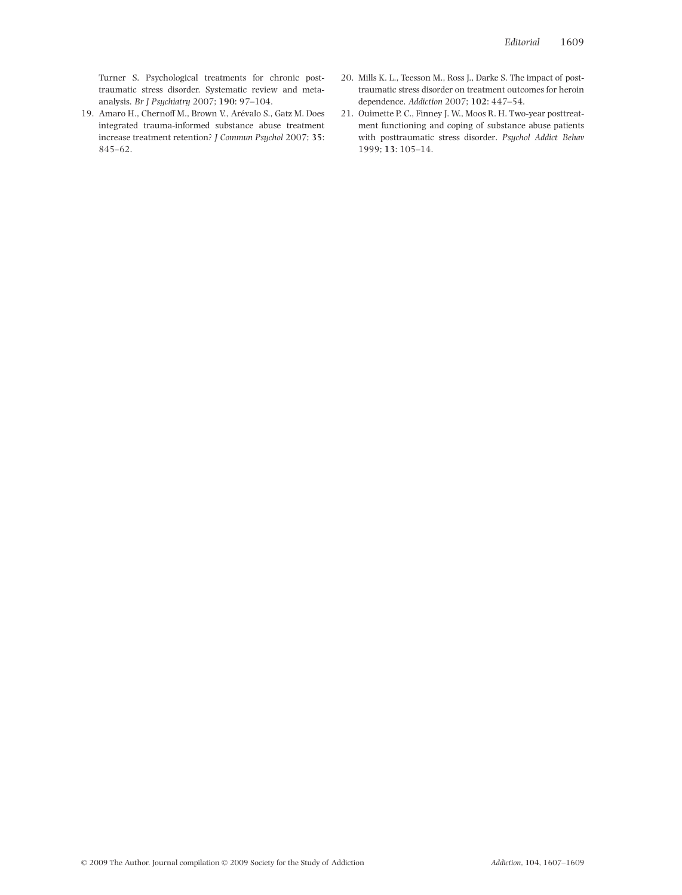Turner S. Psychological treatments for chronic posttraumatic stress disorder. Systematic review and metaanalysis. *Br J Psychiatry* 2007; **190**: 97–104.

- 19. Amaro H., Chernoff M., Brown V., Arévalo S., Gatz M. Does integrated trauma-informed substance abuse treatment increase treatment retention? *J Commun Psychol* 2007; **35**: 845–62.
- 20. Mills K. L., Teesson M., Ross J., Darke S. The impact of posttraumatic stress disorder on treatment outcomes for heroin dependence. *Addiction* 2007; **102**: 447–54.
- 21. Ouimette P. C., Finney J. W., Moos R. H. Two-year posttreatment functioning and coping of substance abuse patients with posttraumatic stress disorder. *Psychol Addict Behav* 1999; **13**: 105–14.